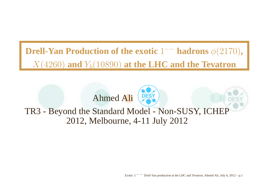### **Drell-Yan Production of the exotic**1−− **hadrons**φ(2170)**,** $X(4260)$  and  $Y_b(10890)$  at the LHC and the Tevatron

# Ahmed Ali

#### TR3 - Beyond the Standard Model - Non-SUSY, ICHEP2012, Melbourne, 4-11 July 2012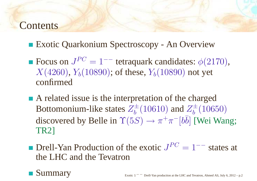### **Contents**

- Exotic Quarkonium Spectroscopy An Overview
- Focus on  $J^{PC} = 1^{--}$  tetraquark candidates:  $\phi(2170)$ ,  $X(4260),\,Y_b(10890);$  of these,  $Y_b(10890)$  not yet confirmed
- A related issue is the interpretation of the charged Bottomonium-like states  $Z_b^{\pm}$  (10610) and  $Z_b^{\pm}$  (10650) discovered by Belle in  $\Upsilon(5S) \rightarrow \pi^+\pi^- [b\bar{b}]$  [Wei Wang;<br>TR21 TR2]
- Drell-Yan Production of the exotic  $J^{PC} = 1^{-−}$  states at the LHC and the Tevatron

Summary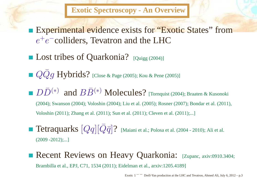**Exotic Spectroscopy - An Overview**

- **Experimental evidence exists for "Exotic States" from**  $\,e\,$  $\, + \,$  $e^-$ colliders, Tevatron and the LHC
- Lost tribes of Quarkonia? [Quigg (2004)]
- $QQg$   $\rm Hybrids?$  [Close & Page (2005); Kou & Pene (2005)]
- $D\bar{D}^{(}$  (2004); Swanson (2004); Voloshin (2004); Liu et al. (2005); Rosner (2007); Bondar et al. (2011), ∗\*) and  $B\bar{B}^{\left(\right)}$ ∗ ) Molecules? [Tornquist (2004); Braaten & Kusonoki Voloshin (2011); Zhang et al. (2011); Sun et al. (2011); Cleven et al. (2011);...]
- ${\rm Tetraquarks}~[Qq][\bar{Q}\bar{q}]?~$  [Maiani et al.; Polosa et al. (2004 2010); Ali et al.  $(2009 - 2012)$ ;...]
- Recent Reviews on Heavy Quarkonia: [Zupanc, axiv:0910.3404; Brambilla et al., EPJ, C71, 1534 (2011); Eidelman et al., arxiv:1205.4189]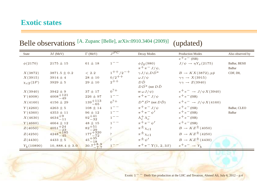#### **Exotic states**

| <b>State</b>    | $M$ (MeV)             | $\Gamma$ (MeV)                                 | IPC                 | Decay Modes                                 | <b>Production Modes</b>             | Also observed by |
|-----------------|-----------------------|------------------------------------------------|---------------------|---------------------------------------------|-------------------------------------|------------------|
|                 |                       |                                                |                     |                                             | $e^+e^-$ (ISR)                      |                  |
| $\phi(2170)$    | $2175 \pm 15$         | $61 \pm 18$                                    | $1 - -$             | $\phi f_0(980)$                             | $J/\psi \rightarrow \eta Y_s(2175)$ | BaBar, BESII     |
|                 |                       |                                                |                     | $\pi^+ \pi^- J/\psi$ ,                      |                                     | BaBar            |
| X(3872)         | $3871.5 \pm 0.2$      | < 2.2                                          | $1^{++}/2^{-+}$     | $\gamma J/\psi$ , $D\bar{D^*}$              | $B \rightarrow KX(3872), p\bar{p}$  | CDF, D0,         |
| X(3915)         | $3914 \pm 4$          | $28 \pm 10$                                    | $0/2$ <sup>++</sup> | $\omega J/\psi$                             | $\gamma \gamma \rightarrow X(3915)$ |                  |
| $\chi_{c2}(2P)$ | $3929 \pm 5$          | $29 \pm 10$                                    | $2^{++}$            | $D\bar{D}$                                  | $\gamma\gamma \rightarrow Z(3940)$  |                  |
|                 |                       |                                                |                     | $D\overline{D}^*$ (not $D\overline{D}$      |                                     |                  |
| X(3940)         | $3942 \pm 9$          | $37 \pm 17$                                    | $0^?$ +             | or $\omega J/\psi$ )                        | $e^+e^- \rightarrow J/\psi X(3940)$ |                  |
| Y(4008)         | $4008 + 121$<br>$-49$ | $226 \pm 97$                                   | $1 - -$             | $\pi^+\pi^- J/\psi$                         | $e^+e^-$ (ISR)                      |                  |
| X(4160)         | $4156\pm29$           | $139 + 113$<br>$-65$                           | $0^?$ +             | $D^* \overline{D^*}$ (not $D\overline{D}$ ) | $e^+e^- \rightarrow J/\psi X(4160)$ |                  |
| Y(4260)         | $4263 \pm 5$          | $108 \pm 14$                                   | $1^{--}$            | $\pi^+\pi^- J/\psi$                         | $e^+e^-$ (ISR)                      | BaBar, CLEO      |
| Y(4360)         | $4353 \pm 11$         | $96 \pm 12$                                    | $1 - -$             | $\pi^+\pi^-\psi'$                           | $e^+e^-$ (ISR)                      | <b>BaBar</b>     |
| X(4630)         | $4634^{+9}_{-11}$     | $92 + 41$<br>$-32$                             | $1^{--}$            | $\Lambda_c^+\Lambda_c^-$                    | $e^+e^-$ (ISR)                      |                  |
| Y(4660)         | $4664 \pm 12$         | $48\pm15$                                      | $1^{--}$            | $\pi^+\pi^-\psi'$                           | $e^+e^-$ (ISR)                      |                  |
| Z(4050)         | $\frac{4051+24}{-23}$ | $82^{+51}_{-29}$                               | $\overline{?}$      | $\pi^{\pm} \chi_{c1}$                       | $B \rightarrow KZ^{\pm}(4050)$      |                  |
| Z(4250)         | $4248 + 185$          | $\substack{177 + 320 \\ -72 \\ 45 + 35 \\ 18}$ | $\gamma$            | $\pi^{\pm} \chi_{c1}$                       | $B \rightarrow KZ^{\pm}(4250)$      |                  |
| Z(4430)         | $4433 \pm 5$          |                                                |                     | $\pi \pm \psi'$                             | $B \rightarrow KZ^{\pm}(4430)$      |                  |
| $Y_h(10890)$    | $10,888.4 \pm 3.0$    | $30.7 + 8.9$<br>$-7.7$                         |                     | $\pi^+ \pi^- \Upsilon(1,2,3S)$              | $e^+e^- \rightarrow Y_h$            |                  |

### Belle observations <sup>[A. Zupanc</sup> [Belle], arXiv:0910.3404 (2009)] (updated)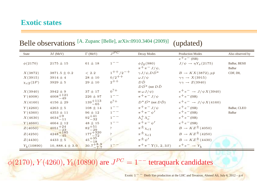#### **Exotic states**

| State           | $M$ (MeV)               | $\Gamma$ (MeV)                                 | IPC             | Decay Modes                                 | <b>Production Modes</b>             | Also observed by |
|-----------------|-------------------------|------------------------------------------------|-----------------|---------------------------------------------|-------------------------------------|------------------|
|                 |                         |                                                |                 |                                             | $e^+e^-$ (ISR)                      |                  |
| $\phi(2170)$    | $2175 \pm 15$           | $61 \pm 18$                                    | $1 - -$         | $\phi f_0(980)$                             | $J/\psi \rightarrow \eta Y_s(2175)$ | BaBar, BESII     |
|                 |                         |                                                |                 | $\pi^+ \pi^- J/\psi$ ,                      |                                     | BaBar            |
| X(3872)         | $3871.5 \pm 0.2$        | < 2.2                                          | $1^{++}/2^{-+}$ | $\gamma J/\psi$ , $D\bar{D^*}$              | $B \to KX(3872), p\bar{p}$          | CDF, D0,         |
| X(3915)         | $3914 \pm 4$            | $28 \pm 10$                                    | $0/2^{++}$      | $\omega J/\psi$                             | $\gamma\gamma \rightarrow X(3915)$  |                  |
| $\chi_{c2}(2P)$ | $3929 \pm 5$            | $29 \pm 10$                                    | $2^{++}$        | $D\bar{D}$                                  | $\gamma \gamma \rightarrow Z(3940)$ |                  |
|                 |                         |                                                |                 | $D\overline{D}^*$ (not $D\overline{D}$      |                                     |                  |
| X(3940)         | $3942 \pm 9$            | $37 \pm 17$                                    | $0^?$ +         | or $\omega J/\psi$ )                        | $e^+e^- \rightarrow J/\psi X(3940)$ |                  |
| Y(4008)         | $4008 + 121$<br>$-49$   | $226 \pm 97$                                   | $1 - -$         | $\pi^+\pi^- J/\psi$                         | $e^+e^-$ (ISR)                      |                  |
| X(4160)         | $4156 \pm 29$           | $139 + 113$<br>-65                             | $0^?$ +         | $D^* \overline{D^*}$ (not $D\overline{D}$ ) | $e^+e^- \rightarrow J/\psi X(4160)$ |                  |
| Y(4260)         | $4263 \pm 5$            | $108 \pm 14$                                   | $1 - -$         | $\pi^+\pi^- J/\psi$                         | $e^+e^-$ (ISR)                      | BaBar, CLEO      |
| Y(4360)         | $4353 \pm 11$           | $96 \pm 12$                                    | $1 - -$         | $\pi^+\pi^-\psi'$                           | $e^+e^-$ (ISR)                      | <b>BaBar</b>     |
| X(4630)         | $4634^{+9}_{-11}$       | $92^{+41}_{-32}$                               | $1 - -$         | $\Lambda_c^+\Lambda_c^-$                    | $e^+e^-$ (ISR)                      |                  |
| Y(4660)         | $4664 \pm 12$           | $48 \pm 15$                                    | $1^{--}$        | $\pi$ + $\pi$ – $\psi'$                     | $e^+e^-$ (ISR)                      |                  |
| Z(4050)         | $\frac{4051 + 24}{-23}$ | $82^{+51}_{-29}$                               | $\overline{?}$  | $\pi^{\pm} \chi_{c1}$                       | $B \rightarrow KZ^{\pm}(4050)$      |                  |
| Z(4250)         | $4248 + 185$            | $\substack{177 + 320 \\ -72 \\ 45 + 35 \\ 18}$ | $\gamma$        | $\pi^{\pm} \chi_{c1}$                       | $B \rightarrow KZ^{\pm}(4250)$      |                  |
| Z(4430)         | $4433 \pm 5$            | - 18                                           |                 | $\pi^{\pm} \psi'$                           | $B \rightarrow KZ^{\pm}(4430)$      |                  |
| $Y_h(10890)$    | $10,888.4 \pm 3.0$      | $30.7 + 8.9$                                   |                 | $\pi^+ \pi^- \Upsilon(1,2,3S)$              | $e^+e^- \rightarrow Y_h$            |                  |

### Belle observations <sup>[A. Zupanc</sup> [Belle], arXiv:0910.3404 (2009)] (updated)

### $\phi(2170), Y(4260), Y_b(10890)$  are  $J^{PC} = 1^{--}$  tetraquark candidates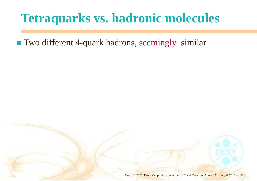Two different 4-quark hadrons, seemingly similar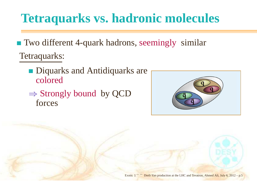Two different 4-quark hadrons, seemingly similar Tetraquarks:

- **Diquarks and Antidiquarks are** colored
- $\Rightarrow$  Strongly bound by QCD<br>forces forces

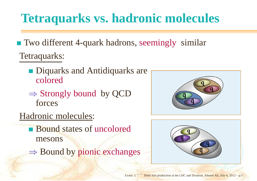Two different 4-quark hadrons, seemingly similar Tetraquarks:

- **Diquarks and Antidiquarks are** colored
- $\Rightarrow$  Strongly bound by QCD<br>forces forces
- Hadronic molecules:
	- Bound states of uncoloredmesons
	- ⇒ Bound by <sup>p</sup>ionic exchanges



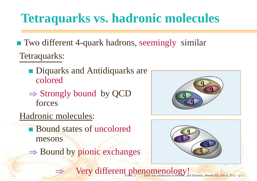Two different 4-quark hadrons, seemingly similar Tetraquarks:

- **Diquarks and Antidiquarks are** colored
- $\Rightarrow$  Strongly bound by QCD<br>forces forces
- Hadronic molecules:

⇒

- Bound states of uncoloredmesons
- ⇒ Bound by <sup>p</sup>ionic exchanges





Very different phenomenology!<br>
Exotic 1<sup>-−</sup> Drell-Yan production at the EHC and Tevatron, Ahmed Ali, July 6, 2012 – p.5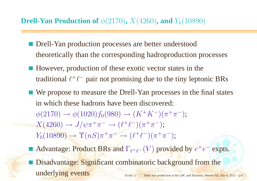- **Drell-Yan production processes are better understood** theoretically than the corresponding hadroproduction processes
- However, production of these exotic vector states in the traditional  $\ell^+\ell^-$  pair not promising due to the tiny leptonic BRs
- We propose to measure the Drell-Yan processes in the final states in which these hadrons have been discovered: $\phi(2170)\to$  $\rightarrow \phi(1020)f_0(980) \rightarrow (K^+K^-)(\pi^+\pi^-);$ <br> $\psi(t) = (0.0 + 0^-)(0.0 + 0^-);$  $X(4260) \rightarrow$  $J/\psi \pi^+ \pi^- \rightarrow (\ell^+ \ell^-) (\pi^+ \pi^-);$ <br>  $\gamma(\ell, \alpha)$  + -  $(\ell^+ \ell^-) (\pi^+ \pi^-);$  $Y_b(10890) \rightarrow$  $\rightarrow \Upsilon(nS)\pi^{+}\pi^{-} \rightarrow (\ell^{+}\ell^{-})(\pi^{+}\pi^{-});$
- Advantage: Product BRs and  $\Gamma_{\ell^+\ell^-}(V)$  provided by  $e^+e^-$  expts.
- **Disadvantage: Significant combinatoric background from the** underlying eventsExotic <sup>1</sup>−− Drell-Yan production at the LHC and Tevatron, Ahmed Ali, July 6, <sup>2012</sup> – p.<sup>6</sup>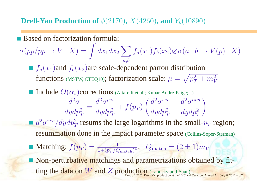### **Drell-Yan Production of**  $\phi(2170)$ ,  $X(4260)$ , and  $Y_b(10890)$

Based on factorization formula:

 $\sigma (pp/p\bar p \to$  $\rightarrow V+X) = \int dx_1 dx_2 \sum_{a,b} f_a(x_1) f_b(x_2) \otimes \sigma(a+b \rightarrow V(p)+X)$  $f_a(x_1)$ and  $f_b(x_2)$ are scale-dependent parton distribution functions (MSTW, CTEQ10); factorization scale:  $\mu = \sqrt{p_T^2 + m_V^2}$  $\mathop{\bf Include}\nolimits O(\alpha_s)$ corrections (Altarelli et al.; Kubar-Andre-Paige;...)  $d^2\sigma$  $\overline{dydp_T^2}=\$  $d^2\sigma^{per}$  $dydp_T^2$  $\frac{e^{2\pi}}{T}+f(p_{T})\left(\frac{d^{2}\sigma^{res}}{dydp_{T}^{2}}-\frac{d^{2}\sigma^{asy}}{dydp_{T}^{2}}\right)$ 

 $d^2\sigma^{res}/dydp_T^2$  resums the large logarithms in the small- $p_T$  region; resummation done in the impact parameter space (Collins-Soper-Sterman)

Matching:  $f(p_T) = \frac{1}{1 + (p_T/Q_{\text{match}})^4}$ ;  $Q_{\text{match}} = (2 \pm 1)m_V$ 

**Non-perturbative matchings and parametrizations obtained by fit**ting the data on W and Z production (Landsky and Yuan) Exotic 1<sup>–</sup> Drell-Yan production at the LHC and Tevatron, Ahmed Ali, July 6, 2012 – p.7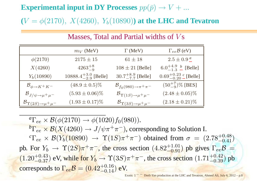$\bf{Experimental}$  **input in DY Processes**  $pp(\bar{p}) \rightarrow V+$ ...

 $(V=\phi(2170),\ X(4260),\ Y_b(10890))$  at the l  $\phi(2170),\ X(4260),\ Y_b(10890))$  at the LHC and Tevatron

|                                                | $m_V$ (MeV)                     | $\Gamma$ (MeV)                            | $\Gamma_{ee} \mathcal{B}$ (eV)             |
|------------------------------------------------|---------------------------------|-------------------------------------------|--------------------------------------------|
| $\phi(2170)$                                   | $2175 \pm 15$                   | $61 \pm 18$                               | $2.5 \pm 0.9^{\ a}$                        |
| X(4260)                                        | $4263^{+8}_{-9}$                | $108 \pm 21$ [Belle]                      | 6.0 <sup><math>+4.9 b</math></sup> [Belle] |
| $Y_b(10890)$                                   | $10888.4^{+3.0}_{-2.9}$ [Belle] | $30.7^{+8.9}_{-7.7}$ [Belle]              | $0.69^{+0.23}_{-0.20}$ c [Belle]           |
| $\mathcal{B}_{\phi\to K^+K^-}$                 | $(48.9 \pm 0.5)\%$              | $\mathcal{B}_{f_0(980)\to\pi^+\pi^-}$     | $(50^{+7}_{-9})\%$ [BES]                   |
| $\mathcal{B}_{J/\psi \rightarrow \mu^+ \mu^-}$ | $(5.93 \pm 0.06)\%$             | $\mathcal{B}_{\Upsilon(1S)\to\mu^+\mu^-}$ | $(2.48 \pm 0.05)\%$                        |
| $\mathcal{B}_{\Upsilon(2S)\to\mu^+\mu^-}$      | $(1.93 \pm 0.17)\%$             | $\mathcal{B}_{\Upsilon(3S)\to\mu^+\mu^-}$ | $(2.18 \pm 0.21)\%$                        |

#### Masses, Total and Partial widths of  $Vs$

*a* ${}^a\Gamma_{ee}\times\mathcal{B}(\phi(2170)\to\phi(1020)f_0(980)).$  $b\Gamma \sim R(V(1960) \sim I/\sqrt{15}$  ${}^b\Gamma_{ee} \times \mathcal{B}(X(4260) \to J/\psi \pi^+ \pi^-)$ , corresponding to Solution I.<br>  ${}^c\Gamma_{ee} \times \mathcal{B}(X(4260) \to \Upsilon(1S) \pi^+ \pi^-)$  obtained from  $\pi = (S)$  $c_{\Gamma}$   $\sim$   $R(V(10000)$   $R(1)$  ${}^c\Gamma_{ee} \times \mathcal{B}(Y_b(10890) \rightarrow \Upsilon(1S)\pi^+\pi^-)$  obtained from  $\sigma$ <br> $\Gamma_{ee} Y_e \propto \mathcal{B}(8.8) + \frac{1}{2}$ pb. For  $Y_b \to \Upsilon(2S) \pi^+ \pi^-$ , the cross section  $(4.82^{+1.01}_{-0.91})$  pb gives  $\Gamma_{ee} \mathcal{B}$ <br>(1.80+0.43),  $Y_b \to \Upsilon$   $Y_c \to Y_c$   $\infty$  (3.6) + = 41  $\sigma = (2.78^{+0.48}_{-0.41}$ −0.48)<br>−0.41)  $(1.20^{+0.43}_{-0.37})$  eV, while for  $Y_b \to \Upsilon(3S)\pi^+\pi^-$ , the cross section  $(1.71^{+0.42}_{-0.39})$  p  $^{-1.01}_{-0.91}$ ) pb gives  $\Gamma_{ee}B =$ corresponds to  $\Gamma_{ee} \mathcal{B} = (0.42^{+0.16}_{-0.14})$  eV.  $^{+0.42}_{-0.39})$  pb  $^{+0.10}_{-0.14})$  eV.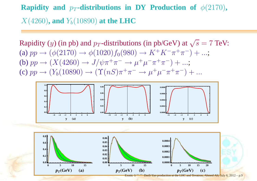**Rapidity and**  $p_T$ **-distributions in DY Production of**  $\phi(2170)$ **,**  $X(4260)$ , and  $Y_b(10890)$  at the LHC

Rapidity (y) (in pb) and p<sub>T</sub>-distributions (in pb/GeV) at  $\sqrt{s} = 7$  TeV: (a)  $pp \rightarrow$  $\rightarrow (\phi(2170) \rightarrow \phi(1020) f_0(980) \rightarrow K^+ K^- \pi^+ \pi^-) + ...;$ <br>(Y(4960)  $\rightarrow I/\psi \pi^+ \pi^ \rightarrow U^+ U^- \pi^+ \pi^-) + ...$ (b)  $pp \rightarrow$  $\rightarrow (X(4260) \rightarrow J/\psi \pi^+ \pi^- \rightarrow \mu^+ \mu^- \pi^+ \pi^-) + ...;$ <br>  $(X(10800) \rightarrow (Y(\mu S) \pi^+ \pi^- \rightarrow \mu^+ \mu^- \pi^+ \pi^-))$ (c)  $pp \rightarrow$  $\rightarrow (Y_b(10890) \rightarrow (\Upsilon(nS)\pi^+\pi^- \rightarrow \mu^+\mu^-\pi^+\pi^-) + ...$ 



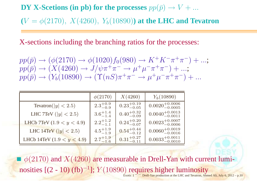$\mathbf{D}\mathbf{Y}$   $\mathbf{X}\text{-}$  Scetions (in pb) for the processes  $pp(\bar{p})\rightarrow V+q$ ...

 $(V=\phi(2170),~X(4260),~Y_b(10890))$  at the LH  $\phi(2170),\ X(4260),\ Y_b(10890))$  at the LHC and Tevatron

X-sections including the branching ratios for the processes:

$$
pp(\bar{p}) \rightarrow (\phi(2170) \rightarrow \phi(1020) f_0(980) \rightarrow K^+ K^- \pi^+ \pi^-) + ...;pp(\bar{p}) \rightarrow (X(4260) \rightarrow J/\psi \pi^+ \pi^- \rightarrow \mu^+ \mu^- \pi^+ \pi^-) + ...;pp(\bar{p}) \rightarrow (Y_b(10890) \rightarrow (\Upsilon(nS) \pi^+ \pi^- \rightarrow \mu^+ \mu^- \pi^+ \pi^-) + ...
$$

|                              | $\phi(2170)$        | X(4260)                | $Y_b(10890)$                 |
|------------------------------|---------------------|------------------------|------------------------------|
| Tevatron( $ y  < 2.5$ )      | $2.3^{+0.9}_{-0.9}$ | $0.23^{+0.19}_{-0.05}$ | $0.0020^{+0.0006}_{-0.0005}$ |
| LHC 7TeV ( $ y  < 2.5$ )     | $3.6^{+1.4}_{-1.4}$ | $0.40^{+0.32}_{-0.09}$ | $0.0040^{+0.0013}_{-0.0011}$ |
| LHCb 7TeV $(1.9 < y < 4.9)$  | $2.2^{+1.2}_{-1.1}$ | $0.24^{+0.20}_{-0.07}$ | $0.0023^{+0.0007}_{-0.0006}$ |
| LHC 14TeV $( y  < 2.5)$      | $4.5^{+1.9}_{-1.9}$ | $0.54^{+0.44}_{-0.12}$ | $0.0060^{+0.0019}_{-0.0016}$ |
| LHCb 14TeV $(1.9 < y < 4.9)$ | $2.7^{+1.9}_{-1.6}$ | $0.31^{+0.27}_{-0.11}$ | $0.0033^{+0.0011}_{-0.0010}$ |

 $\phi(2170)$  and  $X(4260)$  are measurable in Drell-Yan with current luminosities  $[(2 - 10)$  (fb)<sup>-1</sup>];  $Y(10890)$  requires higher luminosity Exotic <sup>1</sup>−− Drell-Yan production at the LHC and Tevatron, Ahmed Ali, July 6, <sup>2012</sup> – p.<sup>10</sup>